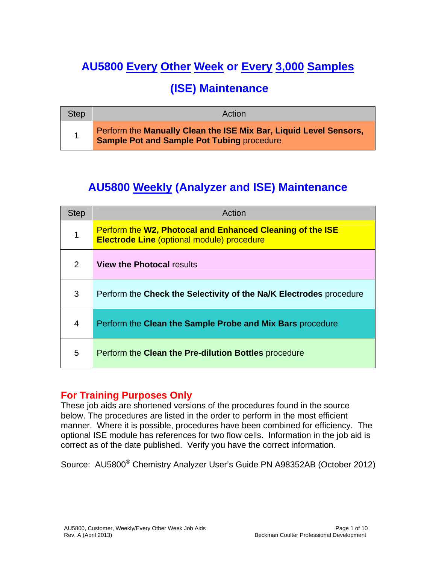# **AU5800 Every Other Week or Every 3,000 Samples**

## **(ISE) Maintenance**

| <b>Step</b> | Action                                                                                                          |
|-------------|-----------------------------------------------------------------------------------------------------------------|
|             | Perform the Manually Clean the ISE Mix Bar, Liquid Level Sensors,<br>Sample Pot and Sample Pot Tubing procedure |

## **AU5800 Weekly (Analyzer and ISE) Maintenance**

| <b>Step</b>   | Action                                                                                                                |
|---------------|-----------------------------------------------------------------------------------------------------------------------|
| 1             | <b>Perform the W2, Photocal and Enhanced Cleaning of the ISE</b><br><b>Electrode Line (optional module) procedure</b> |
| $\mathcal{P}$ | <b>View the Photocal results</b>                                                                                      |
| 3             | Perform the Check the Selectivity of the Na/K Electrodes procedure                                                    |
| 4             | Perform the Clean the Sample Probe and Mix Bars procedure                                                             |
| 5             | Perform the Clean the Pre-dilution Bottles procedure                                                                  |

#### **For Training Purposes Only**

These job aids are shortened versions of the procedures found in the source below. The procedures are listed in the order to perform in the most efficient manner. Where it is possible, procedures have been combined for efficiency. The optional ISE module has references for two flow cells. Information in the job aid is correct as of the date published. Verify you have the correct information.

Source: AU5800® Chemistry Analyzer User's Guide PN A98352AB (October 2012)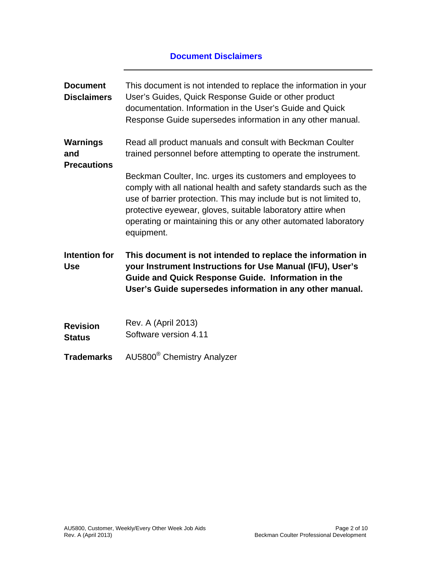#### **Document Disclaimers**

| <b>Document</b><br><b>Disclaimers</b>        | This document is not intended to replace the information in your<br>User's Guides, Quick Response Guide or other product<br>documentation. Information in the User's Guide and Quick<br>Response Guide supersedes information in any other manual.                                                                                                   |
|----------------------------------------------|------------------------------------------------------------------------------------------------------------------------------------------------------------------------------------------------------------------------------------------------------------------------------------------------------------------------------------------------------|
| <b>Warnings</b><br>and<br><b>Precautions</b> | Read all product manuals and consult with Beckman Coulter<br>trained personnel before attempting to operate the instrument.                                                                                                                                                                                                                          |
|                                              | Beckman Coulter, Inc. urges its customers and employees to<br>comply with all national health and safety standards such as the<br>use of barrier protection. This may include but is not limited to,<br>protective eyewear, gloves, suitable laboratory attire when<br>operating or maintaining this or any other automated laboratory<br>equipment. |
| Intention for<br><b>Use</b>                  | This document is not intended to replace the information in<br>your Instrument Instructions for Use Manual (IFU), User's<br>Guide and Quick Response Guide. Information in the<br>User's Guide supersedes information in any other manual.                                                                                                           |
| <b>Revision</b><br><b>Status</b>             | <b>Rev. A (April 2013)</b><br>Software version 4.11                                                                                                                                                                                                                                                                                                  |
| <b>Trademarks</b>                            | AU5800 <sup>®</sup> Chemistry Analyzer                                                                                                                                                                                                                                                                                                               |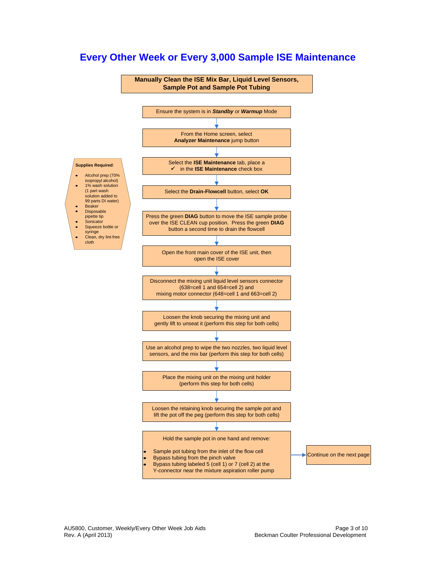

### **Every Other Week or Every 3,000 Sample ISE Maintenance**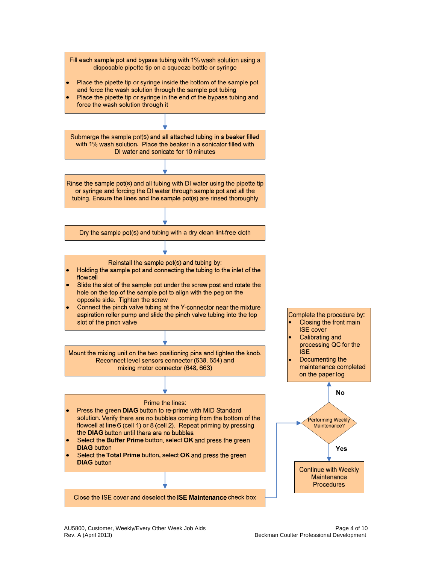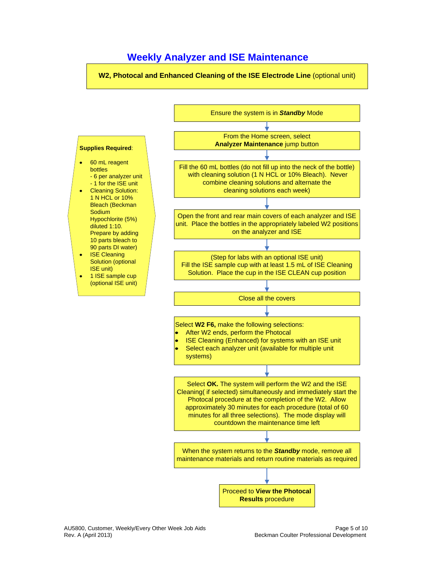#### **Weekly Analyzer and ISE Maintenance**

**W2, Photocal and Enhanced Cleaning of the ISE Electrode Line** (optional unit)

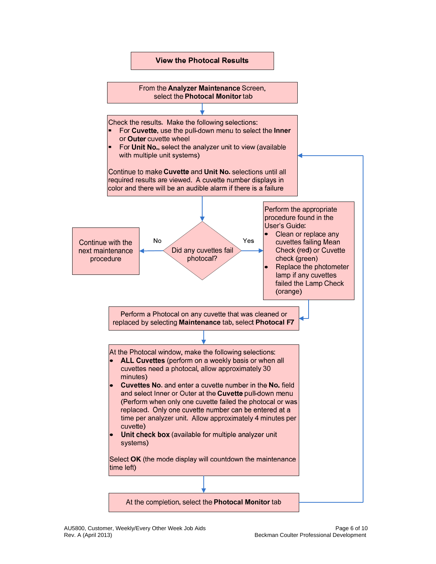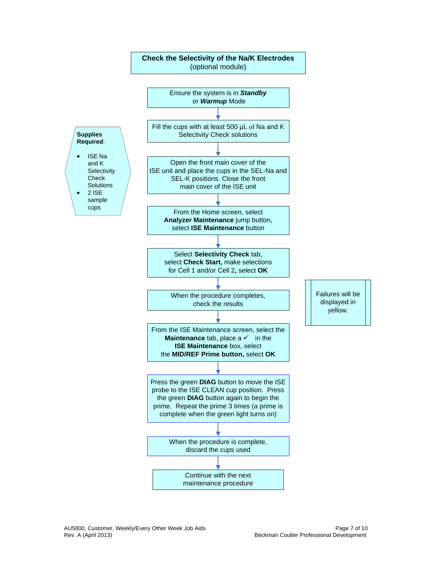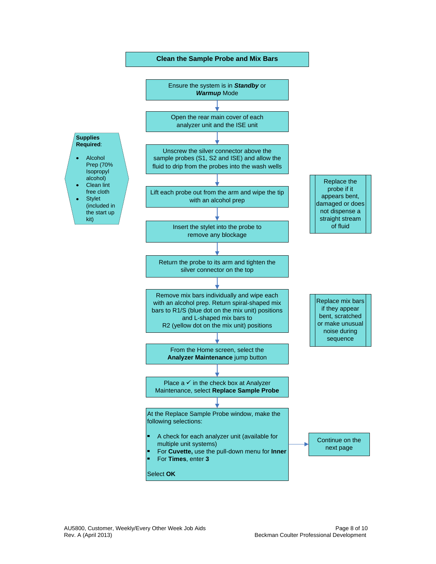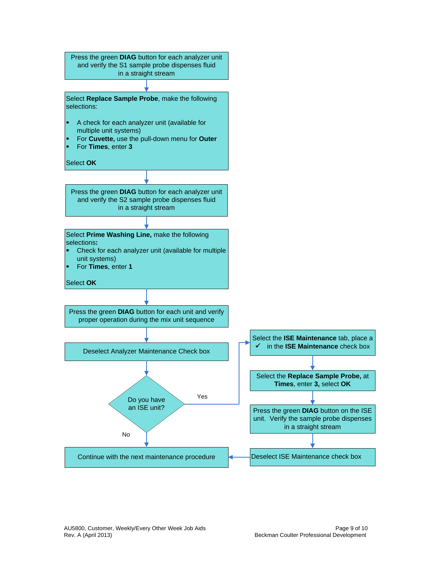